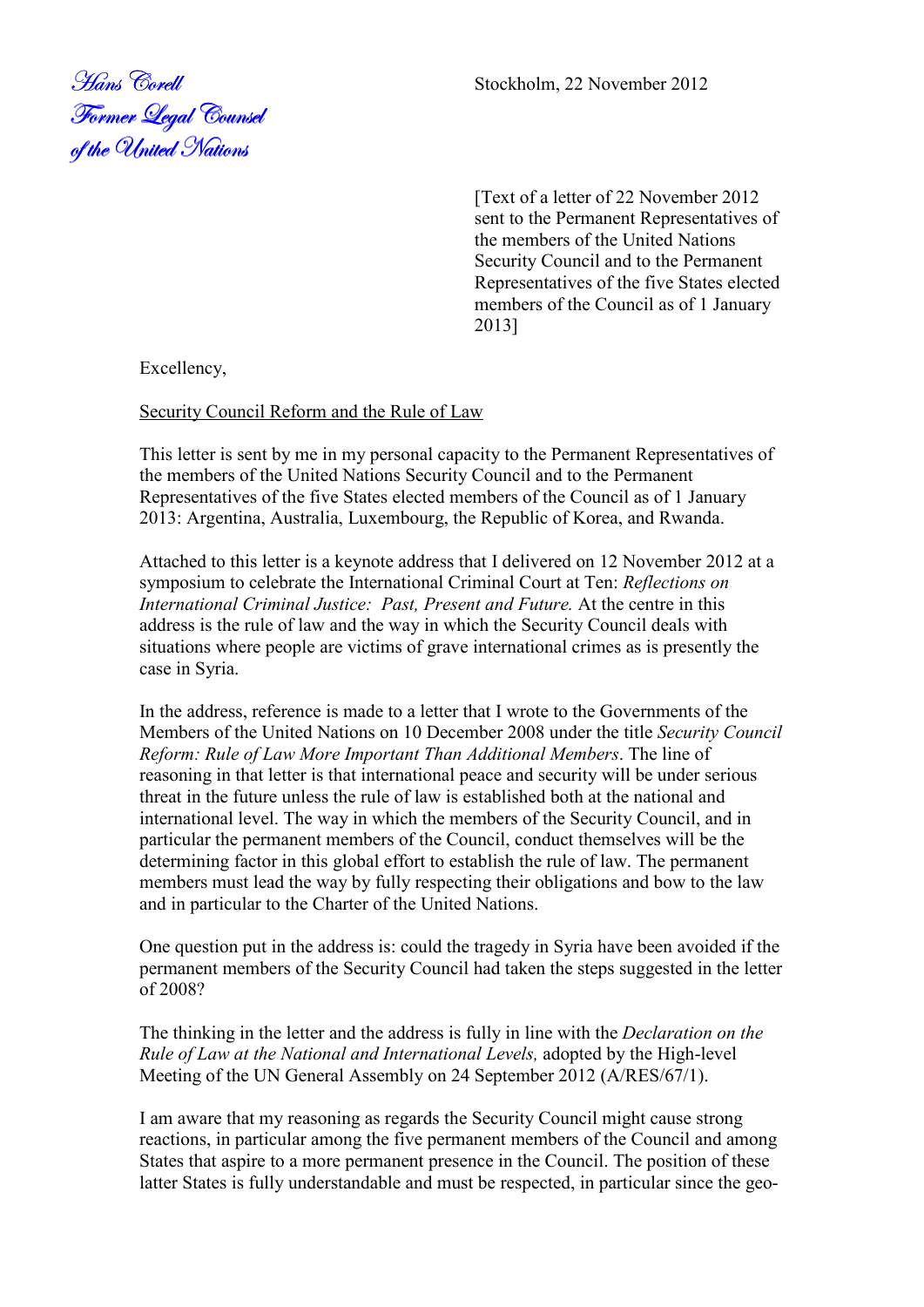<u>Former Leg</u>al Counsel of the United Nations

Stockholm, 22 November 2012

[Text of a letter of 22 November 2012 sent to the Permanent Representatives of the members of the United Nations Security Council and to the Permanent Representatives of the five States elected members of the Council as of 1 January 2013]

Excellency,

Security Council Reform and the Rule of Law

This letter is sent by me in my personal capacity to the Permanent Representatives of the members of the United Nations Security Council and to the Permanent Representatives of the five States elected members of the Council as of 1 January 2013: Argentina, Australia, Luxembourg, the Republic of Korea, and Rwanda.

Attached to this letter is a keynote address that I delivered on 12 November 2012 at a symposium to celebrate the International Criminal Court at Ten: *Reflections on International Criminal Justice: Past, Present and Future.* At the centre in this address is the rule of law and the way in which the Security Council deals with situations where people are victims of grave international crimes as is presently the case in Syria.

In the address, reference is made to a letter that I wrote to the Governments of the Members of the United Nations on 10 December 2008 under the title *Security Council Reform: Rule of Law More Important Than Additional Members*. The line of reasoning in that letter is that international peace and security will be under serious threat in the future unless the rule of law is established both at the national and international level. The way in which the members of the Security Council, and in particular the permanent members of the Council, conduct themselves will be the determining factor in this global effort to establish the rule of law. The permanent members must lead the way by fully respecting their obligations and bow to the law and in particular to the Charter of the United Nations.

One question put in the address is: could the tragedy in Syria have been avoided if the permanent members of the Security Council had taken the steps suggested in the letter of 2008?

The thinking in the letter and the address is fully in line with the *Declaration on the Rule of Law at the National and International Levels,* adopted by the High-level Meeting of the UN General Assembly on 24 September 2012 (A/RES/67/1).

I am aware that my reasoning as regards the Security Council might cause strong reactions, in particular among the five permanent members of the Council and among States that aspire to a more permanent presence in the Council. The position of these latter States is fully understandable and must be respected, in particular since the geo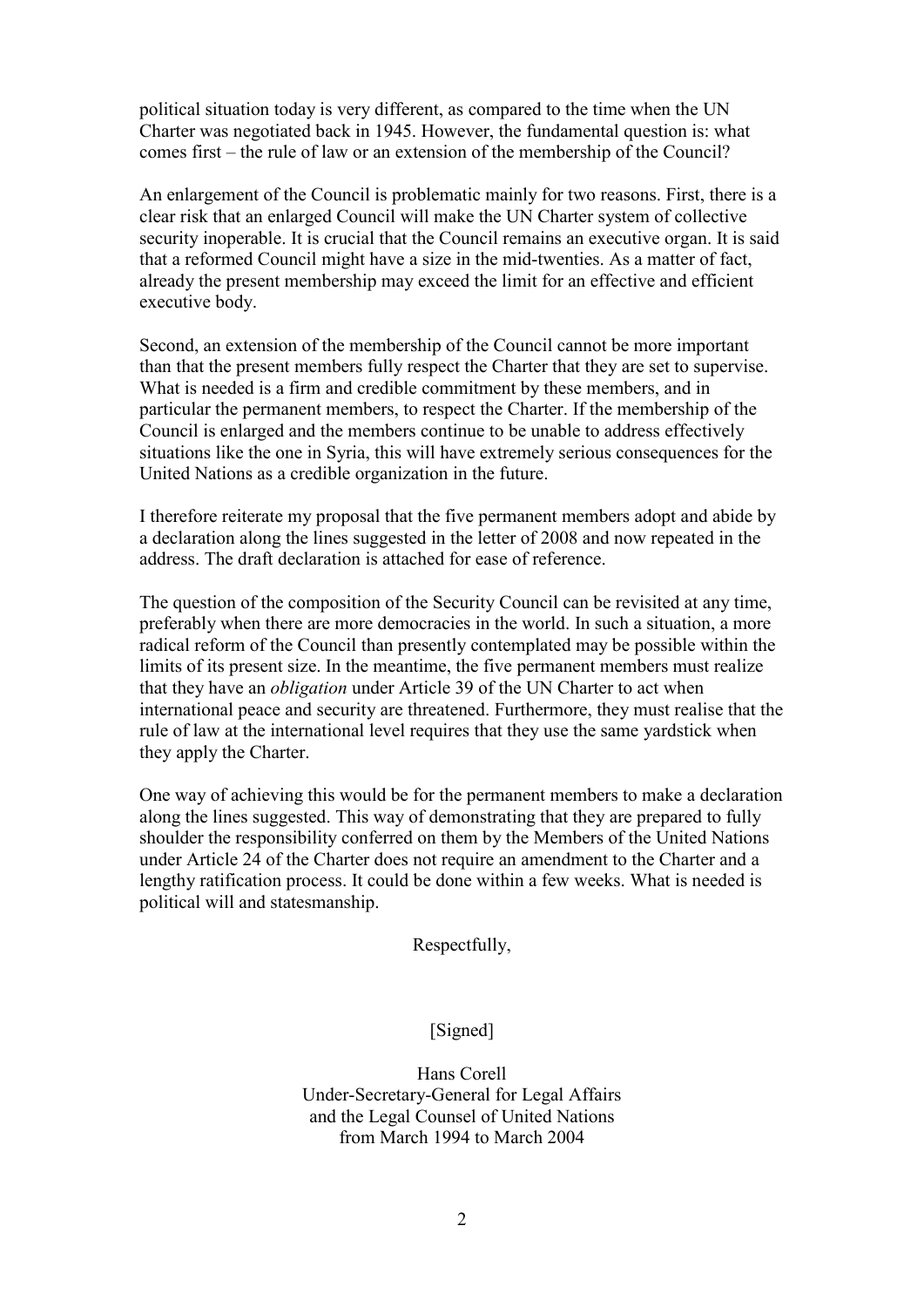political situation today is very different, as compared to the time when the UN Charter was negotiated back in 1945. However, the fundamental question is: what comes first – the rule of law or an extension of the membership of the Council?

An enlargement of the Council is problematic mainly for two reasons. First, there is a clear risk that an enlarged Council will make the UN Charter system of collective security inoperable. It is crucial that the Council remains an executive organ. It is said that a reformed Council might have a size in the mid-twenties. As a matter of fact, already the present membership may exceed the limit for an effective and efficient executive body.

Second, an extension of the membership of the Council cannot be more important than that the present members fully respect the Charter that they are set to supervise. What is needed is a firm and credible commitment by these members, and in particular the permanent members, to respect the Charter. If the membership of the Council is enlarged and the members continue to be unable to address effectively situations like the one in Syria, this will have extremely serious consequences for the United Nations as a credible organization in the future.

I therefore reiterate my proposal that the five permanent members adopt and abide by a declaration along the lines suggested in the letter of 2008 and now repeated in the address. The draft declaration is attached for ease of reference.

The question of the composition of the Security Council can be revisited at any time, preferably when there are more democracies in the world. In such a situation, a more radical reform of the Council than presently contemplated may be possible within the limits of its present size. In the meantime, the five permanent members must realize that they have an *obligation* under Article 39 of the UN Charter to act when international peace and security are threatened. Furthermore, they must realise that the rule of law at the international level requires that they use the same yardstick when they apply the Charter.

One way of achieving this would be for the permanent members to make a declaration along the lines suggested. This way of demonstrating that they are prepared to fully shoulder the responsibility conferred on them by the Members of the United Nations under Article 24 of the Charter does not require an amendment to the Charter and a lengthy ratification process. It could be done within a few weeks. What is needed is political will and statesmanship.

Respectfully,

## [Signed]

Hans Corell Under-Secretary-General for Legal Affairs and the Legal Counsel of United Nations from March 1994 to March 2004